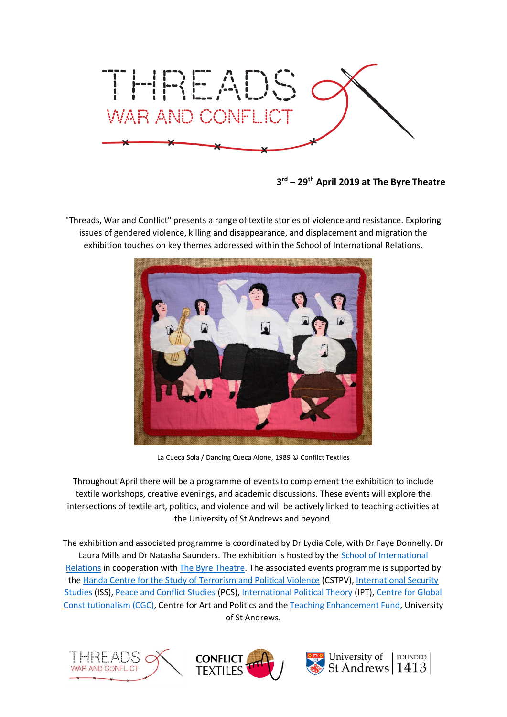

**3 rd – 29th April 2019 at The Byre Theatre**

"Threads, War and Conflict" presents a range of textile stories of violence and resistance. Exploring issues of gendered violence, killing and disappearance, and displacement and migration the exhibition touches on key themes addressed within the School of International Relations.



La Cueca Sola / Dancing Cueca Alone, 1989 © Conflict Textiles

Throughout April there will be a programme of events to complement the exhibition to include textile workshops, creative evenings, and academic discussions. These events will explore the intersections of textile art, politics, and violence and will be actively linked to teaching activities at the University of St Andrews and beyond.

The exhibition and associated programme is coordinated by Dr Lydia Cole, with Dr Faye Donnelly, Dr Laura Mills and Dr Natasha Saunders. The exhibition is hosted by the [School of International](https://www.st-andrews.ac.uk/ir/)  [Relations](https://www.st-andrews.ac.uk/ir/) in cooperation with [The Byre Theatre.](https://byretheatre.com/) The associated events programme is supported by th[e Handa Centre for the Study of Terrorism and Political Violence](https://www.st-andrews.ac.uk/~cstpv/) (CSTPV), [International Security](https://www.st-andrews.ac.uk/subjects/international-relations/international-security-studies-mlitt/#13300)  [Studies](https://www.st-andrews.ac.uk/subjects/international-relations/international-security-studies-mlitt/#13300) (ISS), [Peace and Conflict Studies](https://www.st-andrews.ac.uk/subjects/international-relations/peace-conflict-studies-mlitt/) (PCS), [International Political Theory](https://www.st-andrews.ac.uk/subjects/international-relations/international-political-theory-mlitt/) (IPT), [Centre for Global](https://cgc.wp.st-andrews.ac.uk/)  [Constitutionalism \(CGC\),](https://cgc.wp.st-andrews.ac.uk/) Centre for Art and Politics and the [Teaching Enhancement Fund,](https://www.st-andrews.ac.uk/staff/teaching/funding/enhancement/funding/) University of St Andrews.





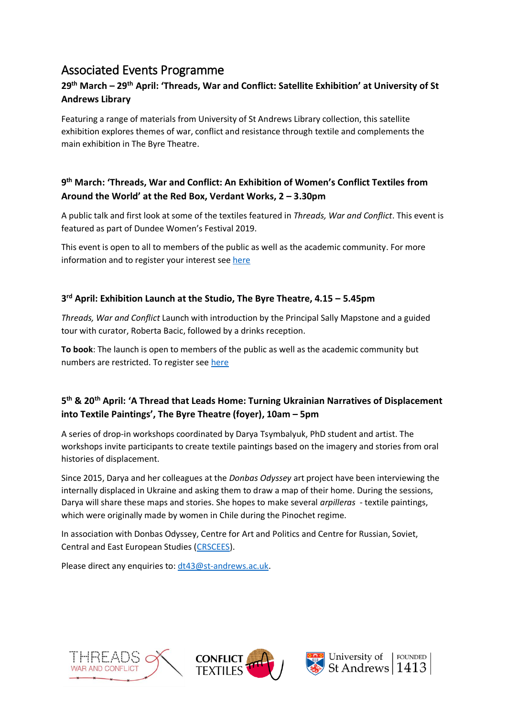# Associated Events Programme

# **29th March – 29th April: 'Threads, War and Conflict: Satellite Exhibition' at University of St Andrews Library**

Featuring a range of materials from University of St Andrews Library collection, this satellite exhibition explores themes of war, conflict and resistance through textile and complements the main exhibition in The Byre Theatre.

## **9 th March: 'Threads, War and Conflict: An Exhibition of Women's Conflict Textiles from Around the World' at the Red Box, Verdant Works, 2 – 3.30pm**

A public talk and first look at some of the textiles featured in *Threads, War and Conflict*. This event is featured as part of Dundee Women's Festival 2019.

This event is open to all to members of the public as well as the academic community. For more information and to register your interest se[e here](https://www.facebook.com/events/ScotlandsJuteMuseum/threads-war-and-conflict-dundee/2357000161186236/)

#### **3 rd April: Exhibition Launch at the Studio, The Byre Theatre, 4.15 – 5.45pm**

*Threads, War and Conflict* Launch with introduction by the Principal Sally Mapstone and a guided tour with curator, Roberta Bacic, followed by a drinks reception.

**To book**: The launch is open to members of the public as well as the academic community but numbers are restricted. To register see [here](https://www.eventbrite.co.uk/e/threads-war-and-conflict-launch-tickets-54966990749)

## **5 th & 20th April: 'A Thread that Leads Home: Turning Ukrainian Narratives of Displacement into Textile Paintings', The Byre Theatre (foyer), 10am – 5pm**

A series of drop-in workshops coordinated by Darya Tsymbalyuk, PhD student and artist. The workshops invite participants to create textile paintings based on the imagery and stories from oral histories of displacement.

Since 2015, Darya and her colleagues at the *Donbas Odyssey* art project have been interviewing the internally displaced in Ukraine and asking them to draw a map of their home. During the sessions, Darya will share these maps and stories. She hopes to make several *arpilleras* - textile paintings, which were originally made by women in Chile during the Pinochet regime.

In association with Donbas Odyssey, Centre for Art and Politics and Centre for Russian, Soviet, Central and East European Studies [\(CRSCEES\)](http://crscees.wp.st-andrews.ac.uk/).

Please direct any enquiries to: [dt43@st-andrews.ac.uk.](mailto:dt43@st-andrews.ac.uk)







FOUNDED